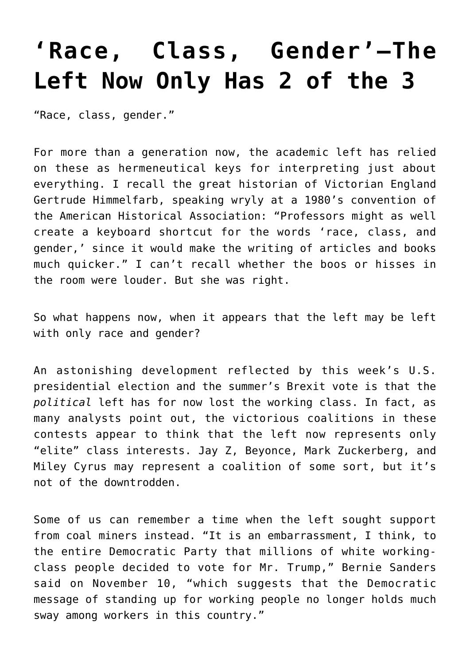## **['Race, Class, Gender'—The](https://intellectualtakeout.org/2016/11/race-class-gender-the-left-now-only-has-2-of-the-3/) [Left Now Only Has 2 of the 3](https://intellectualtakeout.org/2016/11/race-class-gender-the-left-now-only-has-2-of-the-3/)**

"Race, class, gender."

For more than a generation now, the academic left has relied on these as hermeneutical keys for interpreting just about everything. I recall the great historian of Victorian England Gertrude Himmelfarb, speaking wryly at a 1980's convention of the American Historical Association: "Professors might as well create a keyboard shortcut for the words 'race, class, and gender,' since it would make the writing of articles and books much quicker." I can't recall whether the boos or hisses in the room were louder. But she was right.

So what happens now, when it appears that the left may be left with only race and gender?

An astonishing development reflected by this week's U.S. presidential election and the summer's Brexit vote is that the *political* left has for now lost the working class. In fact, as many analysts point out, the victorious coalitions in these contests appear to think that the left now represents only "elite" class interests. Jay Z, Beyonce, Mark Zuckerberg, and Miley Cyrus may represent a coalition of some sort, but it's not of the downtrodden.

Some of us can remember a time when the left sought support from coal miners instead. "It is an embarrassment, I think, to the entire Democratic Party that millions of white workingclass people decided to vote for Mr. Trump," Bernie Sanders said on November 10, "which suggests that the Democratic message of standing up for working people no longer holds much sway among workers in this country."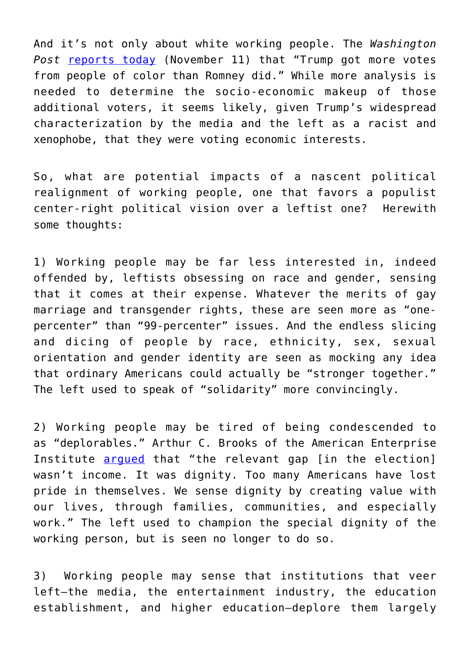And it's not only about white working people. The *Washington* Post [reports today](https://www.washingtonpost.com/news/monkey-cage/wp/2016/11/11/trump-got-more-votes-from-people-of-color-than-romney-did-heres-the-data/) (November 11) that "Trump got more votes from people of color than Romney did." While more analysis is needed to determine the socio-economic makeup of those additional voters, it seems likely, given Trump's widespread characterization by the media and the left as a racist and xenophobe, that they were voting economic interests.

So, what are potential impacts of a nascent political realignment of working people, one that favors a populist center-right political vision over a leftist one? Herewith some thoughts:

1) Working people may be far less interested in, indeed offended by, leftists obsessing on race and gender, sensing that it comes at their expense. Whatever the merits of gay marriage and transgender rights, these are seen more as "onepercenter" than "99-percenter" issues. And the endless slicing and dicing of people by race, ethnicity, sex, sexual orientation and gender identity are seen as mocking any idea that ordinary Americans could actually be "stronger together." The left used to speak of "solidarity" more convincingly.

2) Working people may be tired of being condescended to as "deplorables." Arthur C. Brooks of the American Enterprise Institute [argued](http://www.wsj.com/articles/how-donald-trump-filled-the-dignity-deficit-1478734436) that "the relevant gap [in the election] wasn't income. It was dignity. Too many Americans have lost pride in themselves. We sense dignity by creating value with our lives, through families, communities, and especially work." The left used to champion the special dignity of the working person, but is seen no longer to do so.

3) Working people may sense that institutions that veer left—the media, the entertainment industry, the education establishment, and higher education—deplore them largely